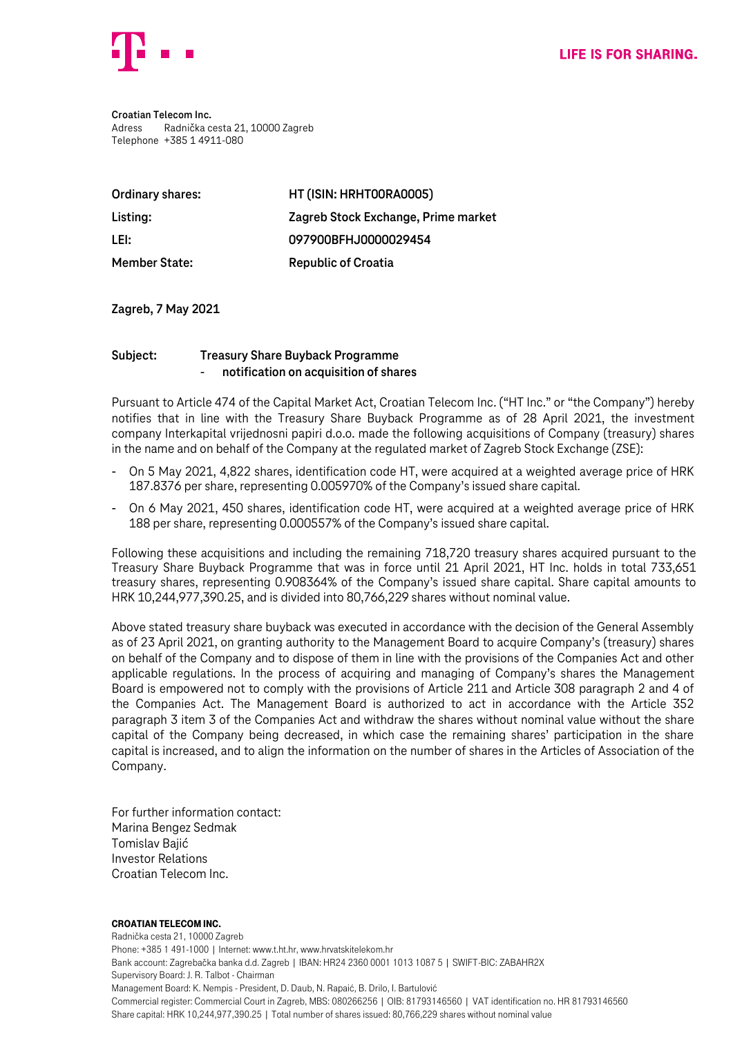

**Croatian Telecom Inc.** Adress Radnička cesta 21, 10000 Zagreb Telephone +385 1 4911-080

| Ordinary shares:     | HT (ISIN: HRHT00RA0005)             |
|----------------------|-------------------------------------|
| Listing:             | Zagreb Stock Exchange, Prime market |
| LEI:                 | 097900BFHJ0000029454                |
| <b>Member State:</b> | <b>Republic of Croatia</b>          |

**Zagreb, 7 May 2021**

## **Subject: Treasury Share Buyback Programme** - **notification on acquisition of shares**

Pursuant to Article 474 of the Capital Market Act, Croatian Telecom Inc. ("HT Inc." or "the Company") hereby notifies that in line with the Treasury Share Buyback Programme as of 28 April 2021, the investment company Interkapital vrijednosni papiri d.o.o. made the following acquisitions of Company (treasury) shares in the name and on behalf of the Company at the regulated market of Zagreb Stock Exchange (ZSE):

- On 5 May 2021, 4,822 shares, identification code HT, were acquired at a weighted average price of HRK 187.8376 per share, representing 0.005970% of the Company's issued share capital.
- On 6 May 2021, 450 shares, identification code HT, were acquired at a weighted average price of HRK 188 per share, representing 0.000557% of the Company's issued share capital.

Following these acquisitions and including the remaining 718,720 treasury shares acquired pursuant to the Treasury Share Buyback Programme that was in force until 21 April 2021, HT Inc. holds in total 733,651 treasury shares, representing 0.908364% of the Company's issued share capital. Share capital amounts to HRK 10,244,977,390.25, and is divided into 80,766,229 shares without nominal value.

Above stated treasury share buyback was executed in accordance with the decision of the General Assembly as of 23 April 2021, on granting authority to the Management Board to acquire Company's (treasury) shares on behalf of the Company and to dispose of them in line with the provisions of the Companies Act and other applicable regulations. In the process of acquiring and managing of Company's shares the Management Board is empowered not to comply with the provisions of Article 211 and Article 308 paragraph 2 and 4 of the Companies Act. The Management Board is authorized to act in accordance with the Article 352 paragraph 3 item 3 of the Companies Act and withdraw the shares without nominal value without the share capital of the Company being decreased, in which case the remaining shares' participation in the share capital is increased, and to align the information on the number of shares in the Articles of Association of the Company.

For further information contact: Marina Bengez Sedmak Tomislav Bajić Investor Relations Croatian Telecom Inc.

## Croatian Telecom Inc.

Radnička cesta 21, 10000 Zagreb Phone: +385 1 491-1000 | Internet: www.t.ht.hr, www.hrvatskitelekom.hr Bank account: Zagrebačka banka d.d. Zagreb | IBAN: HR24 2360 0001 1013 1087 5 | SWIFT-BIC: ZABAHR2X Supervisory Board: J. R. Talbot - Chairman Management Board: K. Nempis - President, D. Daub, N. Rapaić, B. Drilo, I. Bartulović Commercial register: Commercial Court in Zagreb, MBS: 080266256 | OIB: 81793146560 | VAT identification no. HR 81793146560 Share capital: HRK 10,244,977,390.25 | Total number of shares issued: 80,766,229 shares without nominal value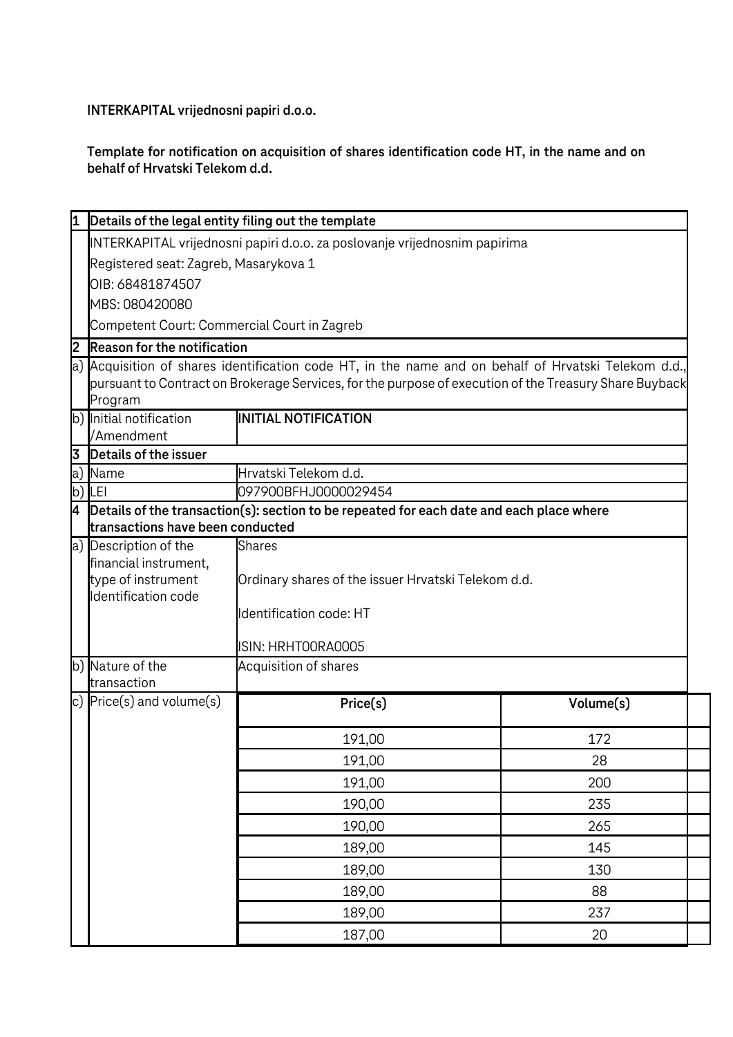**INTERKAPITAL vrijednosni papiri d.o.o.**

**Template for notification on acquisition of shares identification code HT, in the name and on behalf of Hrvatski Telekom d.d.**

|                  |                                                                                                                              | Details of the legal entity filing out the template                                                                                                                                                            |           |  |
|------------------|------------------------------------------------------------------------------------------------------------------------------|----------------------------------------------------------------------------------------------------------------------------------------------------------------------------------------------------------------|-----------|--|
|                  |                                                                                                                              | INTERKAPITAL vrijednosni papiri d.o.o. za poslovanje vrijednosnim papirima                                                                                                                                     |           |  |
|                  | Registered seat: Zagreb, Masarykova 1                                                                                        |                                                                                                                                                                                                                |           |  |
| OIB: 68481874507 |                                                                                                                              |                                                                                                                                                                                                                |           |  |
|                  | MBS: 080420080                                                                                                               |                                                                                                                                                                                                                |           |  |
|                  | Competent Court: Commercial Court in Zagreb                                                                                  |                                                                                                                                                                                                                |           |  |
| 2                | <b>Reason for the notification</b>                                                                                           |                                                                                                                                                                                                                |           |  |
|                  | Program                                                                                                                      | a) Acquisition of shares identification code HT, in the name and on behalf of Hrvatski Telekom d.d.,<br>pursuant to Contract on Brokerage Services, for the purpose of execution of the Treasury Share Buyback |           |  |
|                  | b) Initial notification                                                                                                      | <b>INITIAL NOTIFICATION</b>                                                                                                                                                                                    |           |  |
|                  | /Amendment                                                                                                                   |                                                                                                                                                                                                                |           |  |
| 3                | Details of the issuer                                                                                                        |                                                                                                                                                                                                                |           |  |
| a)               | Name                                                                                                                         | Hrvatski Telekom d.d.                                                                                                                                                                                          |           |  |
| b)               | LEI                                                                                                                          | 097900BFHJ0000029454                                                                                                                                                                                           |           |  |
| 4                | Details of the transaction(s): section to be repeated for each date and each place where<br>transactions have been conducted |                                                                                                                                                                                                                |           |  |
|                  | a) Description of the                                                                                                        | <b>Shares</b>                                                                                                                                                                                                  |           |  |
|                  | financial instrument,                                                                                                        |                                                                                                                                                                                                                |           |  |
|                  | type of instrument                                                                                                           | Ordinary shares of the issuer Hrvatski Telekom d.d.                                                                                                                                                            |           |  |
|                  | Identification code                                                                                                          |                                                                                                                                                                                                                |           |  |
|                  |                                                                                                                              | Identification code: HT                                                                                                                                                                                        |           |  |
|                  |                                                                                                                              | ISIN: HRHTOORAOOO5                                                                                                                                                                                             |           |  |
|                  | b) Nature of the                                                                                                             | Acquisition of shares                                                                                                                                                                                          |           |  |
|                  | transaction                                                                                                                  |                                                                                                                                                                                                                |           |  |
|                  | c) $Price(s)$ and volume $(s)$                                                                                               | Price(s)                                                                                                                                                                                                       | Volume(s) |  |
|                  |                                                                                                                              |                                                                                                                                                                                                                |           |  |
|                  |                                                                                                                              | 191,00                                                                                                                                                                                                         | 172       |  |
|                  |                                                                                                                              | 191,00                                                                                                                                                                                                         | 28        |  |
|                  |                                                                                                                              | 191,00                                                                                                                                                                                                         | 200       |  |
|                  |                                                                                                                              | 190,00                                                                                                                                                                                                         | 235       |  |
|                  |                                                                                                                              | 190,00                                                                                                                                                                                                         | 265       |  |
|                  |                                                                                                                              | 189,00                                                                                                                                                                                                         | 145       |  |
|                  |                                                                                                                              |                                                                                                                                                                                                                |           |  |
|                  |                                                                                                                              | 189,00                                                                                                                                                                                                         | 130       |  |
|                  |                                                                                                                              | 189,00                                                                                                                                                                                                         | 88        |  |
|                  |                                                                                                                              | 189,00                                                                                                                                                                                                         | 237       |  |
|                  |                                                                                                                              | 187,00                                                                                                                                                                                                         | 20        |  |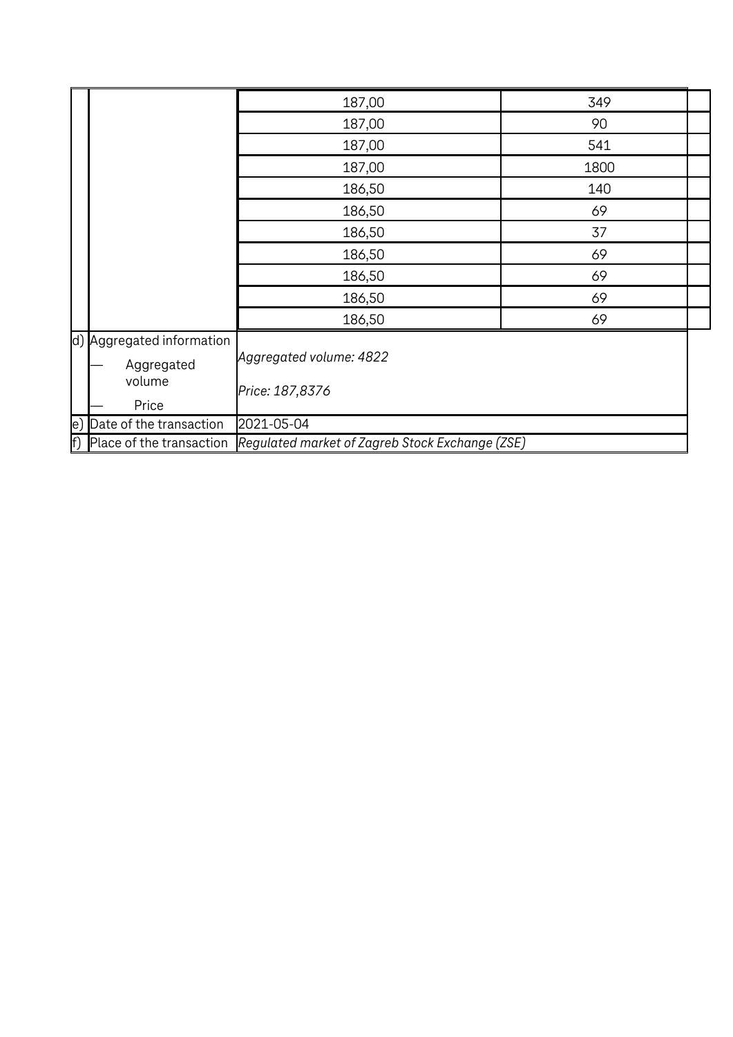|                                                   | 187,00                                          | 349  |  |
|---------------------------------------------------|-------------------------------------------------|------|--|
|                                                   | 187,00                                          | 90   |  |
|                                                   | 187,00                                          | 541  |  |
|                                                   | 187,00                                          | 1800 |  |
|                                                   | 186,50                                          | 140  |  |
|                                                   | 186,50                                          | 69   |  |
|                                                   | 186,50                                          | 37   |  |
|                                                   | 186,50                                          | 69   |  |
|                                                   | 186,50                                          | 69   |  |
|                                                   | 186,50                                          | 69   |  |
|                                                   | 186,50                                          | 69   |  |
| d) Aggregated information<br>Aggregated<br>volume | Aggregated volume: 4822<br>Price: 187,8376      |      |  |
| Price                                             |                                                 |      |  |
| Date of the transaction<br>$\ket{\mathrm{e}}$     | 2021-05-04                                      |      |  |
| f)<br>Place of the transaction                    | Regulated market of Zagreb Stock Exchange (ZSE) |      |  |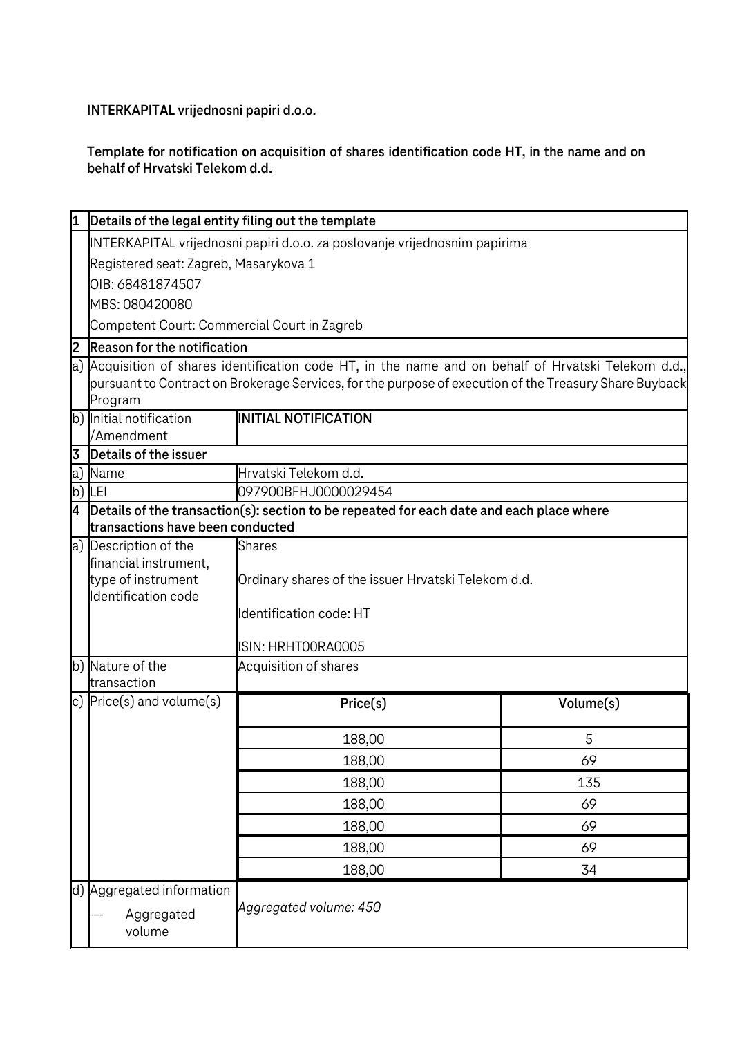**INTERKAPITAL vrijednosni papiri d.o.o.**

**Template for notification on acquisition of shares identification code HT, in the name and on behalf of Hrvatski Telekom d.d.**

| 11 | Details of the legal entity filing out the template                                                                                                                                                                       |                                                     |           |  |  |
|----|---------------------------------------------------------------------------------------------------------------------------------------------------------------------------------------------------------------------------|-----------------------------------------------------|-----------|--|--|
|    | INTERKAPITAL vrijednosni papiri d.o.o. za poslovanje vrijednosnim papirima                                                                                                                                                |                                                     |           |  |  |
|    | Registered seat: Zagreb, Masarykova 1                                                                                                                                                                                     |                                                     |           |  |  |
|    | OIB: 68481874507                                                                                                                                                                                                          |                                                     |           |  |  |
|    | MBS: 080420080                                                                                                                                                                                                            |                                                     |           |  |  |
|    | Competent Court: Commercial Court in Zagreb                                                                                                                                                                               |                                                     |           |  |  |
| 2  | Reason for the notification                                                                                                                                                                                               |                                                     |           |  |  |
|    | a) Acquisition of shares identification code HT, in the name and on behalf of Hrvatski Telekom d.d.,<br>pursuant to Contract on Brokerage Services, for the purpose of execution of the Treasury Share Buyback<br>Program |                                                     |           |  |  |
|    | b) Initial notification<br>/Amendment                                                                                                                                                                                     | <b>INITIAL NOTIFICATION</b>                         |           |  |  |
| 3  | Details of the issuer                                                                                                                                                                                                     |                                                     |           |  |  |
| a) | Name                                                                                                                                                                                                                      | Hrvatski Telekom d.d.                               |           |  |  |
|    | $b)$ LEI                                                                                                                                                                                                                  | 097900BFHJ0000029454                                |           |  |  |
| 4  | Details of the transaction(s): section to be repeated for each date and each place where<br>transactions have been conducted                                                                                              |                                                     |           |  |  |
|    | a) Description of the                                                                                                                                                                                                     | <b>Shares</b>                                       |           |  |  |
|    | financial instrument,                                                                                                                                                                                                     |                                                     |           |  |  |
|    | type of instrument                                                                                                                                                                                                        | Ordinary shares of the issuer Hrvatski Telekom d.d. |           |  |  |
|    | Identification code                                                                                                                                                                                                       |                                                     |           |  |  |
|    |                                                                                                                                                                                                                           | Identification code: HT                             |           |  |  |
|    |                                                                                                                                                                                                                           | ISIN: HRHTOORAOOO5                                  |           |  |  |
|    | b) Nature of the                                                                                                                                                                                                          | Acquisition of shares                               |           |  |  |
|    | transaction                                                                                                                                                                                                               |                                                     |           |  |  |
|    | c) $Price(s)$ and volume $(s)$                                                                                                                                                                                            | Price(s)                                            | Volume(s) |  |  |
|    |                                                                                                                                                                                                                           | 188,00                                              | 5         |  |  |
|    |                                                                                                                                                                                                                           | 188,00                                              | 69        |  |  |
|    |                                                                                                                                                                                                                           | 188,00                                              | 135       |  |  |
|    |                                                                                                                                                                                                                           | 188,00                                              | 69        |  |  |
|    |                                                                                                                                                                                                                           | 188,00                                              | 69        |  |  |
|    |                                                                                                                                                                                                                           | 188,00                                              | 69        |  |  |
|    |                                                                                                                                                                                                                           | 188,00                                              | 34        |  |  |
|    | d) Aggregated information                                                                                                                                                                                                 |                                                     |           |  |  |
|    | Aggregated<br>volume                                                                                                                                                                                                      | Aggregated volume: 450                              |           |  |  |